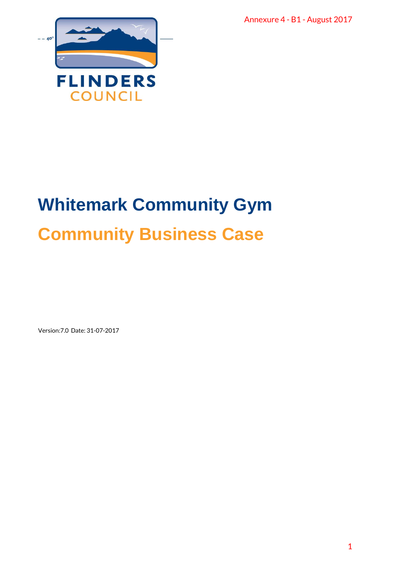

# **Whitemark Community Gym Community Business Case** Annexure 4 - B1 - August 2017<br>
Se

Version:7.0 Date: 31-07-2017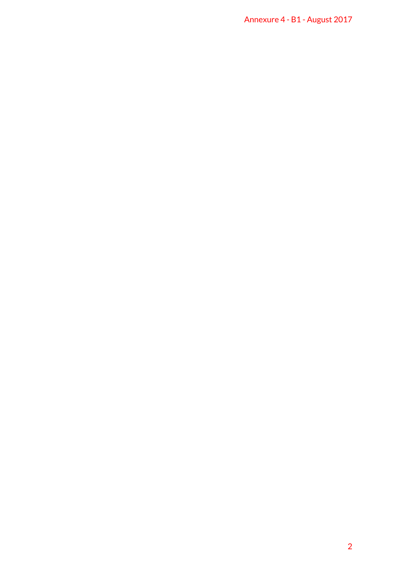Annexure 4 - B1 - August 2017<br>2<br>2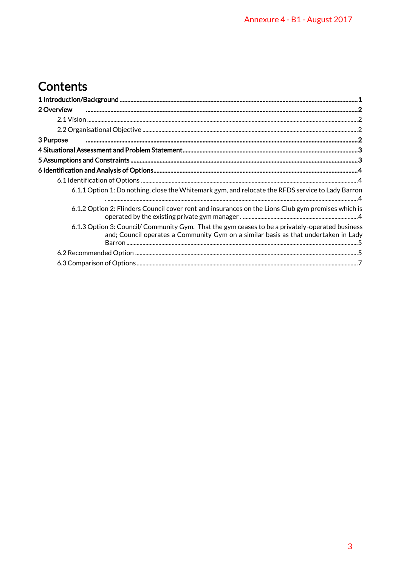# **Contents**

| 2 Overview                                                                                                                                                                             |  |
|----------------------------------------------------------------------------------------------------------------------------------------------------------------------------------------|--|
|                                                                                                                                                                                        |  |
|                                                                                                                                                                                        |  |
| 3 Purpose                                                                                                                                                                              |  |
|                                                                                                                                                                                        |  |
|                                                                                                                                                                                        |  |
|                                                                                                                                                                                        |  |
|                                                                                                                                                                                        |  |
| 6.1.1 Option 1: Do nothing, close the Whitemark gym, and relocate the RFDS service to Lady Barron                                                                                      |  |
| 6.1.2 Option 2: Flinders Council cover rent and insurances on the Lions Club gym premises which is                                                                                     |  |
| 6.1.3 Option 3: Council/ Community Gym. That the gym ceases to be a privately-operated business<br>and; Council operates a Community Gym on a similar basis as that undertaken in Lady |  |
|                                                                                                                                                                                        |  |
|                                                                                                                                                                                        |  |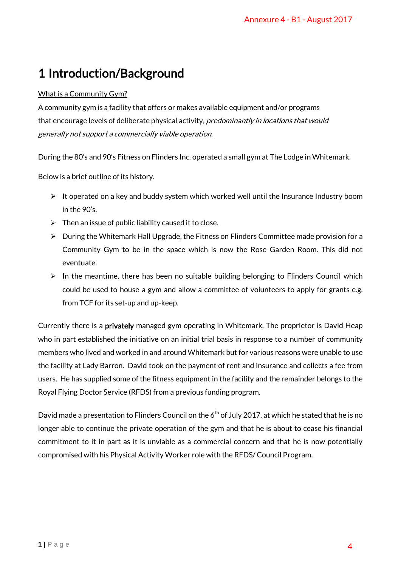# <span id="page-3-0"></span>1 Introduction/Background

### What is a Community Gym?

A community gym is a facility that offers or makes available equipment and/or programs that encourage levels of deliberate physical activity, predominantly in locations that would generally not support a commercially viable operation.

During the 80's and 90's Fitness on Flinders Inc. operated a small gym at The Lodge in Whitemark.

Below is a brief outline of its history.

- $\triangleright$  It operated on a key and buddy system which worked well until the Insurance Industry boom in the 90's.
- $\triangleright$  Then an issue of public liability caused it to close.
- $\triangleright$  During the Whitemark Hall Upgrade, the Fitness on Flinders Committee made provision for a Community Gym to be in the space which is now the Rose Garden Room. This did not eventuate.
- $\triangleright$  In the meantime, there has been no suitable building belonging to Flinders Council which could be used to house a gym and allow a committee of volunteers to apply for grants e.g. from TCF for its set-up and up-keep.

Currently there is a **privately** managed gym operating in Whitemark. The proprietor is David Heap who in part established the initiative on an initial trial basis in response to a number of community members who lived and worked in and around Whitemark but for various reasons were unable to use the facility at Lady Barron. David took on the payment of rent and insurance and collects a fee from users. He has supplied some of the fitness equipment in the facility and the remainder belongs to the Royal Flying Doctor Service (RFDS) from a previous funding program. Annexure 4 - B1 - August 2017<br>
proment and/or programs<br>
f*tly in locations that would*<br>
I gym at The Lodge in Whitemark.<br>
Ell until the Insurance Industry bo<br>
ders Committee made provision for<br>
e Rose Garden Room. This did

David made a presentation to Flinders Council on the 6<sup>th</sup> of July 2017, at which he stated that he is no longer able to continue the private operation of the gym and that he is about to cease his financial commitment to it in part as it is unviable as a commercial concern and that he is now potentially compromised with his Physical Activity Worker role with the RFDS/ Council Program.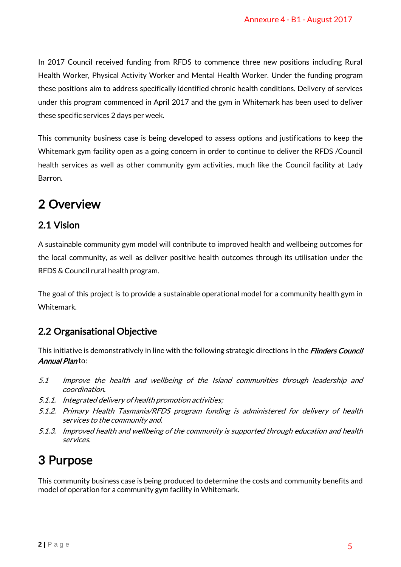In 2017 Council received funding from RFDS to commence three new positions including Rural Health Worker, Physical Activity Worker and Mental Health Worker. Under the funding program these positions aim to address specifically identified chronic health conditions. Delivery of services under this program commenced in April 2017 and the gym in Whitemark has been used to deliver these specific services 2 days per week. Annexure 4 - B1 - August 2017<br>three new positions including Rt<br>Morker. Under the funding progradth conditions. Delivery of servi<br>Whitemark has been used to deli<br>otions and justifications to keep<br>ntinue to deliver the RFDS

This community business case is being developed to assess options and justifications to keep the Whitemark gym facility open as a going concern in order to continue to deliver the RFDS /Council health services as well as other community gym activities, much like the Council facility at Lady Barron.

# <span id="page-4-0"></span>2 Overview

# <span id="page-4-1"></span>2.1 Vision

A sustainable community gym model will contribute to improved health and wellbeing outcomes for the local community, as well as deliver positive health outcomes through its utilisation under the RFDS & Council rural health program.

The goal of this project is to provide a sustainable operational model for a community health gym in Whitemark.

# <span id="page-4-2"></span>2.2 Organisational Objective

This initiative is demonstratively in line with the following strategic directions in the *Flinders Council* Annual Planto:

- 5.1 Improve the health and wellbeing of the Island communities through leadership and coordination.
- 5.1.1. Integrated delivery of health promotion activities;
- 5.1.2. Primary Health Tasmania/RFDS program funding is administered for delivery of health services to the community and.
- 5.1.3. Improved health and wellbeing of the community is supported through education and health services.

# <span id="page-4-3"></span>3 Purpose

This community business case is being produced to determine the costs and community benefits and model of operation for a community gym facility in Whitemark.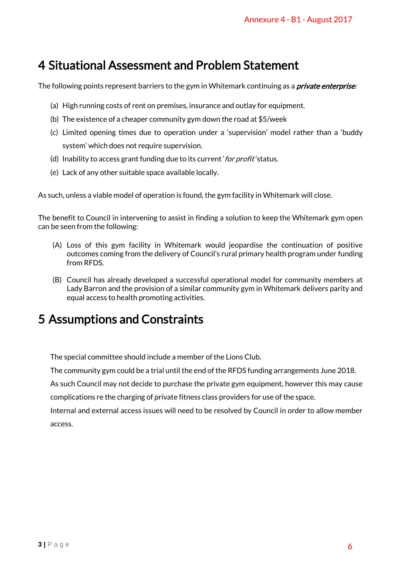# <span id="page-5-0"></span>4 Situational Assessment and Problem Statement

The following points represent barriers to the gym in Whitemark continuing as a *private enterprise:* 

- (a) High running costs of rent on premises, insurance and outlay for equipment.
- (b) The existence of a cheaper community gym down the road at \$5/week
- (c) Limited opening times due to operation under a 'supervision' model rather than a 'buddy system' which does not require supervision.
- (d) Inability to access grant funding due to its current '*for profit'* status.
- (e) Lack of any other suitable space available locally.

As such, unless a viable model of operation is found, the gym facility in Whitemark will close.

The benefit to Council in intervening to assist in finding a solution to keep the Whitemark gym open can be seen from the following:

- (A) Loss of this gym facility in Whitemark would jeopardise the continuation of positive outcomes coming from the delivery of Council's rural primary health program under funding from RFDS.
- (B) Council has already developed a successful operational model for community members at Lady Barron and the provision of a similar community gym in Whitemark delivers parity and equal access to health promoting activities. Annexure 4 - B1 - August 2017<br>
Statement<br>
continuing as a *private enterpris*<br>
tlay for equipment.<br>
Id at \$5/week<br>
vrsion' model rather than a 'buo<br> *ofit'* status.<br>
Ility in Whitemark will close.<br>
on to keep the Whitemark

# <span id="page-5-1"></span>5 Assumptions and Constraints

The special committee should include a member of the Lions Club.

The community gym could be a trial until the end of the RFDS funding arrangements June 2018.

As such Council may not decide to purchase the private gym equipment, however this may cause

complications re the charging of private fitness class providers for use of the space.

Internal and external access issues will need to be resolved by Council in order to allow member access.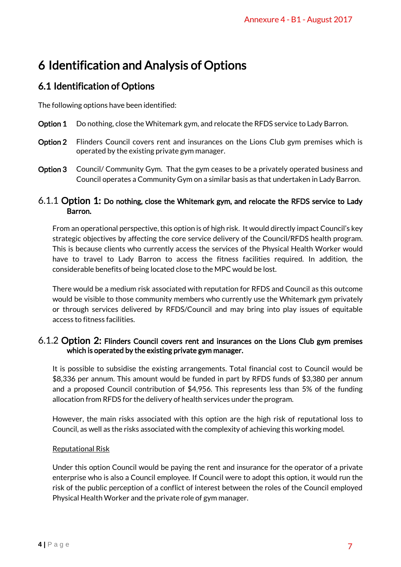# <span id="page-6-0"></span>6 Identification and Analysis of Options

# <span id="page-6-1"></span>6.1 Identification of Options

The following options have been identified:

- **Option 1** Do nothing, close the Whitemark gym, and relocate the RFDS service to Lady Barron.
- Option 2 Flinders Council covers rent and insurances on the Lions Club gym premises which is operated by the existing private gym manager.
- Option 3 Council/ Community Gym. That the gym ceases to be a privately operated business and Council operates a Community Gym on a similar basis as that undertaken in Lady Barron.

### <span id="page-6-2"></span>6.1.1 Option 1: Do nothing, close the Whitemark gym, and relocate the RFDS service to Lady Barron.

From an operational perspective, this option is of high risk. It would directly impact Council's key strategic objectives by affecting the core service delivery of the Council/RFDS health program. This is because clients who currently access the services of the Physical Health Worker would have to travel to Lady Barron to access the fitness facilities required. In addition, the considerable benefits of being located close to the MPC would be lost. Annexure 4 - B1 - August 2017<br>
S<br>
S<br>
S<br>
S<br>
Annexure 4 - B1 - August 2017<br>
S<br>
S<br>
S<br>
S<br>
S<br>
S<br>
A<br>
A privately operated business which<br>
d<br>
a privately operated business<br>
of the Council/S<br>
A properated busines<br>
of the Council/S

There would be a medium risk associated with reputation for RFDS and Council as this outcome would be visible to those community members who currently use the Whitemark gym privately or through services delivered by RFDS/Council and may bring into play issues of equitable access to fitness facilities.

### <span id="page-6-3"></span>6.1.2 Option 2: Flinders Council covers rent and insurances on the Lions Club gym premises which is operated by the existing private gym manager.

It is possible to subsidise the existing arrangements. Total financial cost to Council would be \$8,336 per annum. This amount would be funded in part by RFDS funds of \$3,380 per annum and a proposed Council contribution of \$4,956. This represents less than 5% of the funding allocation from RFDS for the delivery of health services under the program.

However, the main risks associated with this option are the high risk of reputational loss to Council, as well as the risks associated with the complexity of achieving this working model.

### Reputational Risk

Under this option Council would be paying the rent and insurance for the operator of a private enterprise who is also a Council employee. If Council were to adopt this option, it would run the risk of the public perception of a conflict of interest between the roles of the Council employed Physical Health Worker and the private role of gym manager.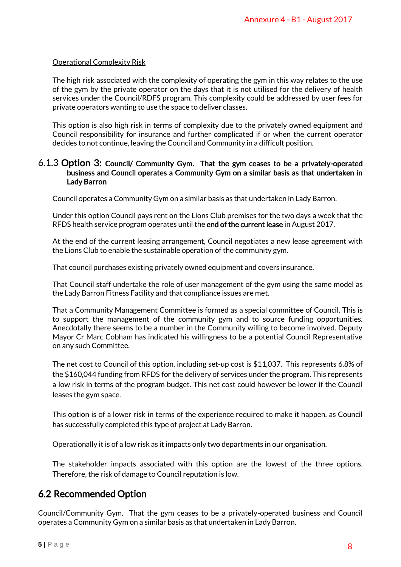### Operational Complexity Risk

The high risk associated with the complexity of operating the gym in this way relates to the use of the gym by the private operator on the days that it is not utilised for the delivery of health services under the Council/RDFS program. This complexity could be addressed by user fees for private operators wanting to use the space to deliver classes.

This option is also high risk in terms of complexity due to the privately owned equipment and Council responsibility for insurance and further complicated if or when the current operator decides to not continue, leaving the Council and Community in a difficult position.

### <span id="page-7-0"></span>6.1.3 Option 3: Council/ Community Gym. That the gym ceases to be a privately-operated business and Council operates a Community Gym on a similar basis as that undertaken in Lady Barron

Council operates a Community Gym on a similar basis as that undertaken in Lady Barron.

Under this option Council pays rent on the Lions Club premises for the two days a week that the RFDS health service program operates until the end of the current lease in August 2017.

At the end of the current leasing arrangement, Council negotiates a new lease agreement with the Lions Club to enable the sustainable operation of the community gym.

That council purchases existing privately owned equipment and covers insurance.

That Council staff undertake the role of user management of the gym using the same model as the Lady Barron Fitness Facility and that compliance issues are met.

That a Community Management Committee is formed as a special committee of Council. This is to support the management of the community gym and to source funding opportunities. Anecdotally there seems to be a number in the Community willing to become involved. Deputy Mayor Cr Marc Cobham has indicated his willingness to be a potential Council Representative on any such Committee. Annexure 4 - B1 - August 2017<br>
the gym in this way relates to the<br>
ot ot utilised for the delivery of hea<br>
could be addressed by user fees<br>
i.e.<br>
the privately owned equipment a<br>
i.e.<br>
the privately owned equipment a<br>
in a

The net cost to Council of this option, including set-up cost is \$11,037. This represents 6.8% of the \$160,044 funding from RFDS for the delivery of services under the program. This represents a low risk in terms of the program budget. This net cost could however be lower if the Council leases the gym space.

This option is of a lower risk in terms of the experience required to make it happen, as Council has successfully completed this type of project at Lady Barron.

Operationally it is of a low risk as it impacts only two departments in our organisation.

The stakeholder impacts associated with this option are the lowest of the three options. Therefore, the risk of damage to Council reputation is low.

## <span id="page-7-1"></span>6.2 Recommended Option

Council/Community Gym. That the gym ceases to be a privately-operated business and Council operates a Community Gym on a similar basis as that undertaken in Lady Barron.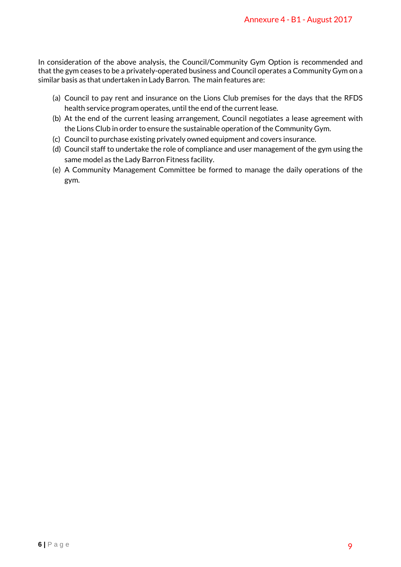In consideration of the above analysis, the Council/Community Gym Option is recommended and that the gym ceases to be a privately-operated business and Council operates a Community Gym on a similar basis as that undertaken in Lady Barron. The main features are: Annexure 4 - B1 - August 2017<br>
y Gym Option is recommended and<br>
incil operates a Community Gym c<br>
es are:<br>
remises for the days that the RF<br>
remt lease.<br>
il negotiates a lease agreement w<br>
in engotiates a lease agreement o

- (a) Council to pay rent and insurance on the Lions Club premises for the days that the RFDS health service program operates, until the end of the current lease.
- (b) At the end of the current leasing arrangement, Council negotiates a lease agreement with the Lions Club in order to ensure the sustainable operation of the Community Gym.
- (c) Council to purchase existing privately owned equipment and covers insurance.
- (d) Council staff to undertake the role of compliance and user management of the gym using the same model as the Lady Barron Fitness facility.
- (e) A Community Management Committee be formed to manage the daily operations of the gym.